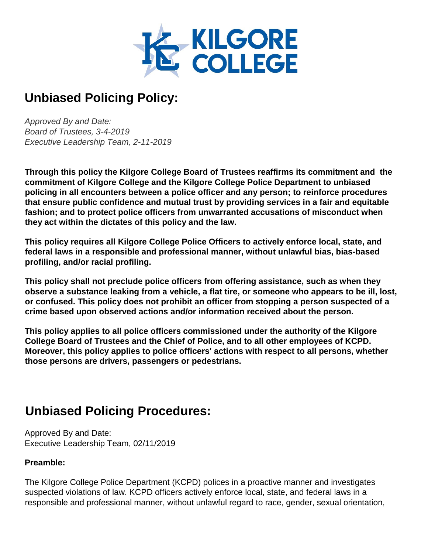

# **Unbiased Policing Policy:**

*Approved By and Date: Board of Trustees, 3-4-2019 Executive Leadership Team, 2-11-2019* 

**Through this policy the Kilgore College Board of Trustees reaffirms its commitment and the commitment of Kilgore College and the Kilgore College Police Department to unbiased policing in all encounters between a police officer and any person; to reinforce procedures that ensure public confidence and mutual trust by providing services in a fair and equitable fashion; and to protect police officers from unwarranted accusations of misconduct when they act within the dictates of this policy and the law.** 

**This policy requires all Kilgore College Police Officers to actively enforce local, state, and federal laws in a responsible and professional manner, without unlawful bias, bias-based profiling, and/or racial profiling.** 

**This policy shall not preclude police officers from offering assistance, such as when they observe a substance leaking from a vehicle, a flat tire, or someone who appears to be ill, lost, or confused. This policy does not prohibit an officer from stopping a person suspected of a crime based upon observed actions and/or information received about the person.** 

**This policy applies to all police officers commissioned under the authority of the Kilgore College Board of Trustees and the Chief of Police, and to all other employees of KCPD. Moreover, this policy applies to police officers' actions with respect to all persons, whether those persons are drivers, passengers or pedestrians.** 

## **Unbiased Policing Procedures:**

Approved By and Date: Executive Leadership Team, 02/11/2019

#### **Preamble:**

The Kilgore College Police Department (KCPD) polices in a proactive manner and investigates suspected violations of law. KCPD officers actively enforce local, state, and federal laws in a responsible and professional manner, without unlawful regard to race, gender, sexual orientation,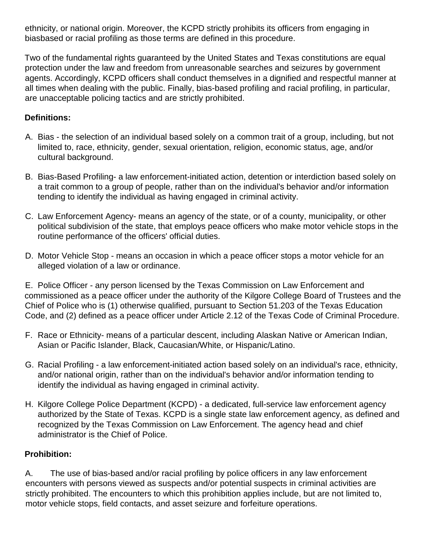ethnicity, or national origin. Moreover, the KCPD strictly prohibits its officers from engaging in biasbased or racial profiling as those terms are defined in this procedure.

Two of the fundamental rights guaranteed by the United States and Texas constitutions are equal protection under the law and freedom from unreasonable searches and seizures by government agents. Accordingly, KCPD officers shall conduct themselves in a dignified and respectful manner at all times when dealing with the public. Finally, bias-based profiling and racial profiling, in particular, are unacceptable policing tactics and are strictly prohibited.

#### **Definitions:**

- A. Bias the selection of an individual based solely on a common trait of a group, including, but not limited to, race, ethnicity, gender, sexual orientation, religion, economic status, age, and/or cultural background.
- B. Bias-Based Profiling- a law enforcement-initiated action, detention or interdiction based solely on a trait common to a group of people, rather than on the individual's behavior and/or information tending to identify the individual as having engaged in criminal activity.
- C. Law Enforcement Agency- means an agency of the state, or of a county, municipality, or other political subdivision of the state, that employs peace officers who make motor vehicle stops in the routine performance of the officers' official duties.
- D. Motor Vehicle Stop means an occasion in which a peace officer stops a motor vehicle for an alleged violation of a law or ordinance.

E. Police Officer - any person licensed by the Texas Commission on Law Enforcement and commissioned as a peace officer under the authority of the Kilgore College Board of Trustees and the Chief of Police who is (1) otherwise qualified, pursuant to Section 51.203 of the Texas Education Code, and (2) defined as a peace officer under Article 2.12 of the Texas Code of Criminal Procedure.

- F. Race or Ethnicity- means of a particular descent, including Alaskan Native or American Indian, Asian or Pacific Islander, Black, Caucasian/White, or Hispanic/Latino.
- G. Racial Profiling a law enforcement-initiated action based solely on an individual's race, ethnicity, and/or national origin, rather than on the individual's behavior and/or information tending to identify the individual as having engaged in criminal activity.
- H. Kilgore College Police Department (KCPD) a dedicated, full-service law enforcement agency authorized by the State of Texas. KCPD is a single state law enforcement agency, as defined and recognized by the Texas Commission on Law Enforcement. The agency head and chief administrator is the Chief of Police.

#### **Prohibition:**

A. The use of bias-based and/or racial profiling by police officers in any law enforcement encounters with persons viewed as suspects and/or potential suspects in criminal activities are strictly prohibited. The encounters to which this prohibition applies include, but are not limited to, motor vehicle stops, field contacts, and asset seizure and forfeiture operations.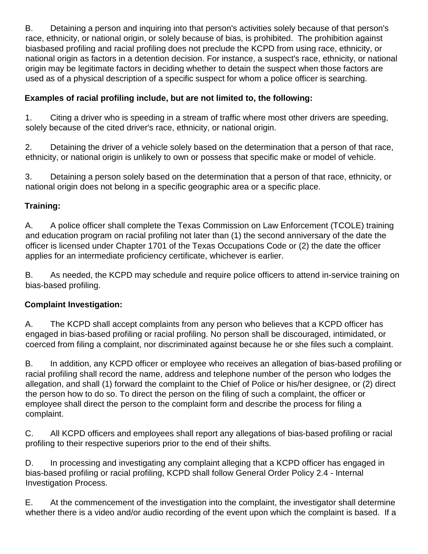B. Detaining a person and inquiring into that person's activities solely because of that person's race, ethnicity, or national origin, or solely because of bias, is prohibited. The prohibition against biasbased profiling and racial profiling does not preclude the KCPD from using race, ethnicity, or national origin as factors in a detention decision. For instance, a suspect's race, ethnicity, or national origin may be legitimate factors in deciding whether to detain the suspect when those factors are used as of a physical description of a specific suspect for whom a police officer is searching.

## **Examples of racial profiling include, but are not limited to, the following:**

1. Citing a driver who is speeding in a stream of traffic where most other drivers are speeding, solely because of the cited driver's race, ethnicity, or national origin.

2. Detaining the driver of a vehicle solely based on the determination that a person of that race, ethnicity, or national origin is unlikely to own or possess that specific make or model of vehicle.

3. Detaining a person solely based on the determination that a person of that race, ethnicity, or national origin does not belong in a specific geographic area or a specific place.

## **Training:**

A. A police officer shall complete the Texas Commission on Law Enforcement (TCOLE) training and education program on racial profiling not later than (1) the second anniversary of the date the officer is licensed under Chapter 1701 of the Texas Occupations Code or (2) the date the officer applies for an intermediate proficiency certificate, whichever is earlier.

B. As needed, the KCPD may schedule and require police officers to attend in-service training on bias-based profiling.

## **Complaint Investigation:**

A. The KCPD shall accept complaints from any person who believes that a KCPD officer has engaged in bias-based profiling or racial profiling. No person shall be discouraged, intimidated, or coerced from filing a complaint, nor discriminated against because he or she files such a complaint.

B. In addition, any KCPD officer or employee who receives an allegation of bias-based profiling or racial profiling shall record the name, address and telephone number of the person who lodges the allegation, and shall (1) forward the complaint to the Chief of Police or his/her designee, or (2) direct the person how to do so. To direct the person on the filing of such a complaint, the officer or employee shall direct the person to the complaint form and describe the process for filing a complaint.

C. All KCPD officers and employees shall report any allegations of bias-based profiling or racial profiling to their respective superiors prior to the end of their shifts.

D. In processing and investigating any complaint alleging that a KCPD officer has engaged in bias-based profiling or racial profiling, KCPD shall follow General Order Policy 2.4 - Internal Investigation Process.

E. At the commencement of the investigation into the complaint, the investigator shall determine whether there is a video and/or audio recording of the event upon which the complaint is based. If a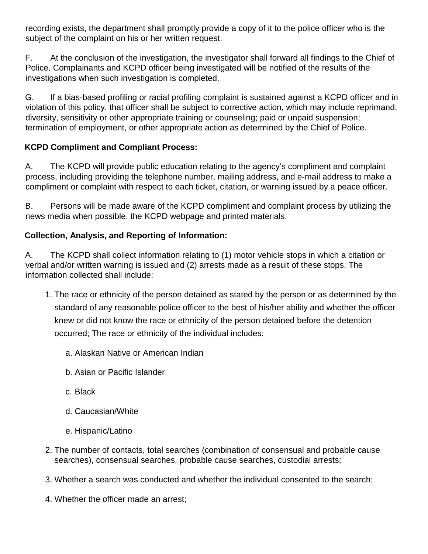recording exists, the department shall promptly provide a copy of it to the police officer who is the subject of the complaint on his or her written request.

F. At the conclusion of the investigation, the investigator shall forward all findings to the Chief of Police. Complainants and KCPD officer being investigated will be notified of the results of the investigations when such investigation is completed.

G. If a bias-based profiling or racial profiling complaint is sustained against a KCPD officer and in violation of this policy, that officer shall be subject to corrective action, which may include reprimand; diversity, sensitivity or other appropriate training or counseling; paid or unpaid suspension; termination of employment, or other appropriate action as determined by the Chief of Police.

## **KCPD Compliment and Compliant Process:**

A. The KCPD will provide public education relating to the agency's compliment and complaint process, including providing the telephone number, mailing address, and e-mail address to make a compliment or complaint with respect to each ticket, citation, or warning issued by a peace officer.

B. Persons will be made aware of the KCPD compliment and complaint process by utilizing the news media when possible, the KCPD webpage and printed materials.

#### **Collection, Analysis, and Reporting of Information:**

A. The KCPD shall collect information relating to (1) motor vehicle stops in which a citation or verbal and/or written warning is issued and (2) arrests made as a result of these stops. The information collected shall include:

- 1. The race or ethnicity of the person detained as stated by the person or as determined by the standard of any reasonable police officer to the best of his/her ability and whether the officer knew or did not know the race or ethnicity of the person detained before the detention occurred; The race or ethnicity of the individual includes:
	- a. Alaskan Native or American Indian
	- b. Asian or Pacific Islander
	- c. Black
	- d. Caucasian/White
	- e. Hispanic/Latino
- 2. The number of contacts, total searches (combination of consensual and probable cause searches), consensual searches, probable cause searches, custodial arrests;
- 3. Whether a search was conducted and whether the individual consented to the search;
- 4. Whether the officer made an arrest;